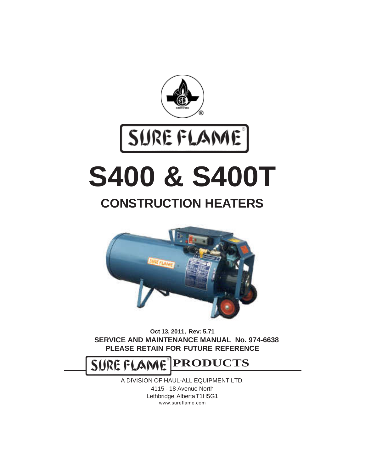

## SUREFLAME

# **S400 & S400T**

## **CONSTRUCTION HEATERS**



**Oct 13, 2011, Rev: 5.71 SERVICE AND MAINTENANCE MANUAL No. 974-6638 PLEASE RETAIN FOR FUTURE REFERENCE**

SURE FLAN **PRODUCTS**

> A DIVISION OF HAUL-ALL EQUIPMENT LTD. 4115 - 18 Avenue North Lethbridge, Alberta T1H5G1 www.sureflame.com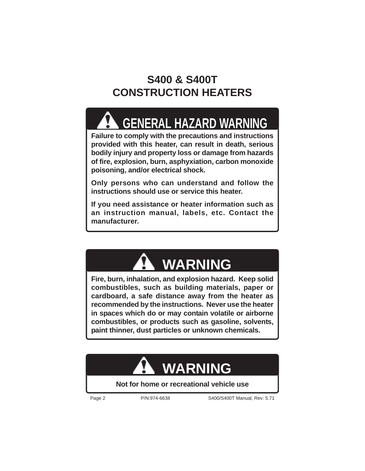## **S400 & S400T CONSTRUCTION HEATERS**

## **GENERAL HAZARD WARNING**

**Failure to comply with the precautions and instructions provided with this heater, can result in death, serious bodily injury and property loss or damage from hazards of fire, explosion, burn, asphyxiation, carbon monoxide poisoning, and/or electrical shock.**

**Only persons who can understand and follow the instructions should use or service this heater.**

**If you need assistance or heater information such as an instruction manual, labels, etc. Contact the manufacturer.**

## **WARNING**

**Fire, burn, inhalation, and explosion hazard. Keep solid combustibles, such as building materials, paper or cardboard, a safe distance away from the heater as recommended by the instructions. Never use the heater in spaces which do or may contain volatile or airborne combustibles, or products such as gasoline, solvents, paint thinner, dust particles or unknown chemicals.**

## **WARNING**

#### **Not for home or recreational vehicle use**

Page 2 **P/N:974-6638** S400/S400T Manual, Rev: 5.71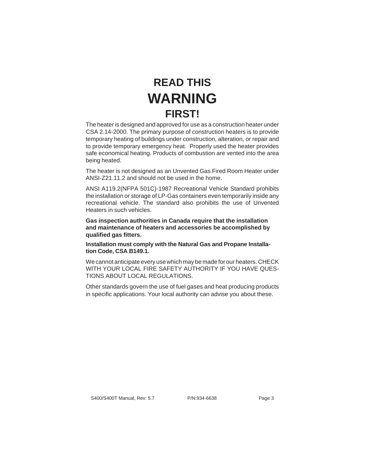## **READ THIS WARNING FIRST!**

The heater is designed and approved for use as a construction heater under CSA 2.14-2000. The primary purpose of construction heaters is to provide temporary heating of buildings under construction, alteration, or repair and to provide temporary emergency heat. Properly used the heater provides safe economical heating. Products of combustion are vented into the area being heated.

The heater is not designed as an Unvented Gas Fired Room Heater under ANSI-Z21.11.2 and should not be used in the home.

ANSI A119.2(NFPA 501C)-1987 Recreational Vehicle Standard prohibits the installation or storage of LP-Gas containers even temporarily inside any recreational vehicle. The standard also prohibits the use of Unvented Heaters in such vehicles.

**Gas inspection authorities in Canada require that the installation and maintenance of heaters and accessories be accomplished by qualified gas fitters.**

**Installation must comply with the Natural Gas and Propane Installation Code, CSA B149.1.**

We cannot anticipate every use which may be made for our heaters. CHECK WITH YOUR LOCAL FIRE SAFETY AUTHORITY IF YOU HAVE QUES-TIONS ABOUT LOCAL REGULATIONS.

Other standards govern the use of fuel gases and heat producing products in specific applications. Your local authority can advise you about these.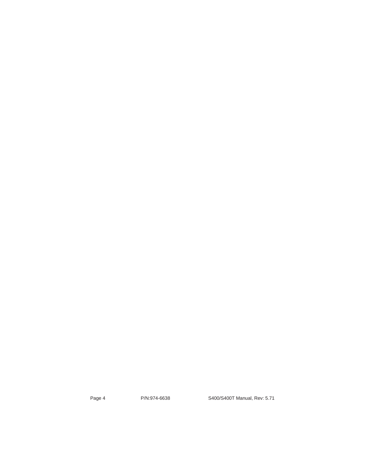Page 4 P/N:974-6638 S400/S400T Manual, Rev: 5.71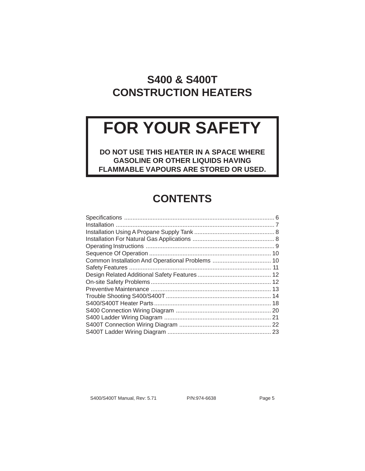## **S400 & S400T CONSTRUCTION HEATERS**

## **FOR YOUR SAFETY**

**DO NOT USE THIS HEATER IN A SPACE WHERE GASOLINE OR OTHER LIQUIDS HAVING FLAMMABLE VAPOURS ARE STORED OR USED.**

## **CONTENTS**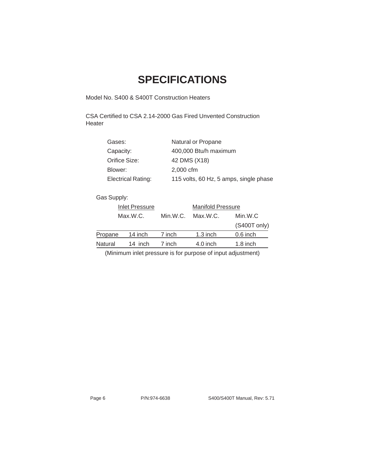## **SPECIFICATIONS**

Model No. S400 & S400T Construction Heaters

CSA Certified to CSA 2.14-2000 Gas Fired Unvented Construction Heater

| Gases:                    | Natural or Propane                     |
|---------------------------|----------------------------------------|
| Capacity:                 | 400,000 Btu/h maximum                  |
| Orifice Size:             | 42 DMS (X18)                           |
| Blower:                   | 2,000 cfm                              |
| <b>Electrical Rating:</b> | 115 volts, 60 Hz, 5 amps, single phase |

#### Gas Supply:

|         | <b>Inlet Pressure</b> |          | <b>Manifold Pressure</b> |              |
|---------|-----------------------|----------|--------------------------|--------------|
|         | Max.W.C.              | Min.W.C. | Max.W.C.                 | Min.W.C      |
|         |                       |          |                          | (S400T only) |
| Propane | 14 inch               | 7 inch   | $1.3$ inch               | $0.6$ inch   |
| Natural | 14 inch               | 7 inch   | 4.0 inch                 | $1.8$ inch   |
|         |                       |          |                          |              |

(Minimum inlet pressure is for purpose of input adjustment)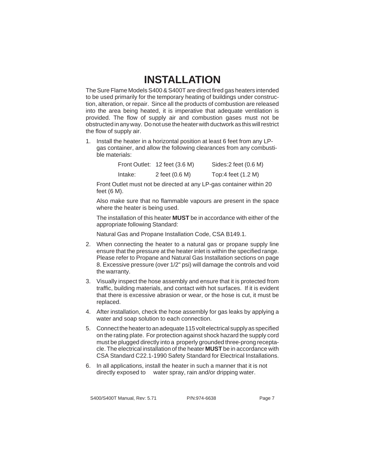### **INSTALLATION**

The Sure Flame Models S400 & S400T are direct fired gas heaters intended to be used primarily for the temporary heating of buildings under construction, alteration, or repair. Since all the products of combustion are released into the area being heated, it is imperative that adequate ventilation is provided. The flow of supply air and combustion gases must not be obstructed in any way. Do not use the heater with ductwork as this will restrict the flow of supply air.

1. Install the heater in a horizontal position at least 6 feet from any LPgas container, and allow the following clearances from any combustible materials:

|         | Front Outlet: 12 feet (3.6 M) | Sides:2 feet (0.6 M) |
|---------|-------------------------------|----------------------|
| Intake: | 2 feet (0.6 M)                | Top:4 feet (1.2 M)   |

Front Outlet must not be directed at any LP-gas container within 20 feet (6 M).

Also make sure that no flammable vapours are present in the space where the heater is being used.

The installation of this heater **MUST** be in accordance with either of the appropriate following Standard:

Natural Gas and Propane Installation Code, CSA B149.1.

- 2. When connecting the heater to a natural gas or propane supply line ensure that the pressure at the heater inlet is within the specified range. Please refer to Propane and Natural Gas Installation sections on page 8. Excessive pressure (over 1/2" psi) will damage the controls and void the warranty.
- 3. Visually inspect the hose assembly and ensure that it is protected from traffic, building materials, and contact with hot surfaces. If it is evident that there is excessive abrasion or wear, or the hose is cut, it must be replaced.
- 4. After installation, check the hose assembly for gas leaks by applying a water and soap solution to each connection.
- 5. Connect the heater to an adequate 115 volt electrical supply as specified on the rating plate. For protection against shock hazard the supply cord must be plugged directly into a properly grounded three-prong receptacle. The electrical installation of the heater **MUST** be in accordance with CSA Standard C22.1-1990 Safety Standard for Electrical Installations.
- 6. In all applications, install the heater in such a manner that it is not directly exposed to water spray, rain and/or dripping water.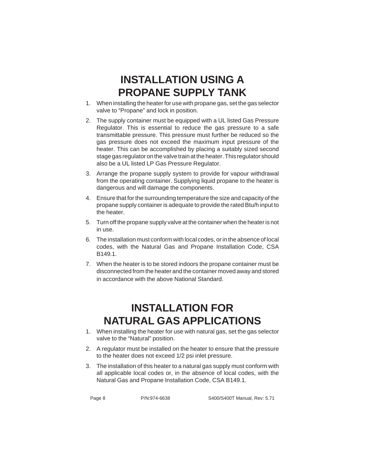## **INSTALLATION USING A PROPANE SUPPLY TANK**

- 1. When installing the heater for use with propane gas, set the gas selector valve to "Propane" and lock in position.
- 2. The supply container must be equipped with a UL listed Gas Pressure Regulator. This is essential to reduce the gas pressure to a safe transmittable pressure. This pressure must further be reduced so the gas pressure does not exceed the maximum input pressure of the heater. This can be accomplished by placing a suitably sized second stage gas regulator on the valve train at the heater. This regulator should also be a UL listed LP Gas Pressure Regulator.
- 3. Arrange the propane supply system to provide for vapour withdrawal from the operating container. Supplying liquid propane to the heater is dangerous and will damage the components.
- 4. Ensure that for the surrounding temperature the size and capacity of the propane supply container is adequate to provide the rated Btu/h input to the heater.
- 5. Turn off the propane supply valve at the container when the heater is not in use.
- 6. The installation must conform with local codes, or in the absence of local codes, with the Natural Gas and Propane Installation Code, CSA B149.1.
- 7. When the heater is to be stored indoors the propane container must be disconnected from the heater and the container moved away and stored in accordance with the above National Standard.

### **INSTALLATION FOR NATURAL GAS APPLICATIONS**

- 1. When installing the heater for use with natural gas, set the gas selector valve to the "Natural" position.
- 2. A regulator must be installed on the heater to ensure that the pressure to the heater does not exceed 1/2 psi inlet pressure.
- 3. The installation of this heater to a natural gas supply must conform with all applicable local codes or, in the absence of local codes, with the Natural Gas and Propane Installation Code, CSA B149.1.

Page 8 **P/N:974-6638** S400/S400T Manual, Rev: 5.71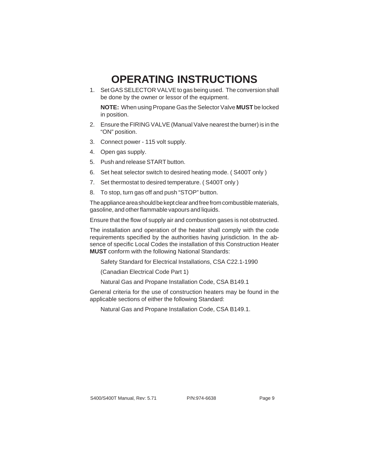## **OPERATING INSTRUCTIONS**

1. Set GAS SELECTOR VALVE to gas being used. The conversion shall be done by the owner or lessor of the equipment.

**NOTE:** When using Propane Gas the Selector Valve **MUST** be locked in position.

- 2. Ensure the FIRING VALVE (Manual Valve nearest the burner) is in the "ON" position.
- 3. Connect power 115 volt supply.
- 4. Open gas supply.
- 5. Push and release START button.
- 6. Set heat selector switch to desired heating mode. ( S400T only )
- 7. Set thermostat to desired temperature. ( S400T only )
- 8. To stop, turn gas off and push "STOP" button.

The appliance area should be kept clear and free from combustible materials, gasoline, and other flammable vapours and liquids.

Ensure that the flow of supply air and combustion gases is not obstructed.

The installation and operation of the heater shall comply with the code requirements specified by the authorities having jurisdiction. In the absence of specific Local Codes the installation of this Construction Heater **MUST** conform with the following National Standards:

Safety Standard for Electrical Installations, CSA C22.1-1990

(Canadian Electrical Code Part 1)

Natural Gas and Propane Installation Code, CSA B149.1

General criteria for the use of construction heaters may be found in the applicable sections of either the following Standard:

Natural Gas and Propane Installation Code, CSA B149.1.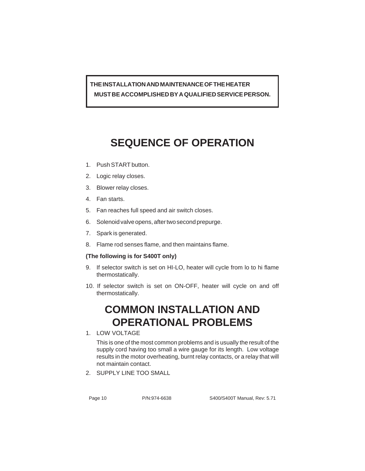**THE INSTALLATION AND MAINTENANCE OF THE HEATER MUST BE ACCOMPLISHED BY A QUALIFIED SERVICE PERSON.**

## **SEQUENCE OF OPERATION**

- 1. Push START button.
- 2. Logic relay closes.
- 3. Blower relay closes.
- 4. Fan starts.
- 5. Fan reaches full speed and air switch closes.
- 6. Solenoid valve opens, after two second prepurge.
- 7. Spark is generated.
- 8. Flame rod senses flame, and then maintains flame.

#### **(The following is for S400T only)**

- 9. If selector switch is set on HI-LO, heater will cycle from lo to hi flame thermostatically.
- 10. If selector switch is set on ON-OFF, heater will cycle on and off thermostatically.

## **COMMON INSTALLATION AND OPERATIONAL PROBLEMS**

1. LOW VOLTAGE

This is one of the most common problems and is usually the result of the supply cord having too small a wire gauge for its length. Low voltage results in the motor overheating, burnt relay contacts, or a relay that will not maintain contact.

2. SUPPLY LINE TOO SMALL

Page 10 **P/N:974-6638** S400/S400T Manual, Rev: 5.71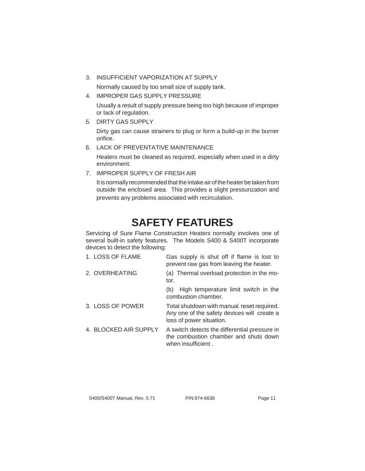- 3. INSUFFICIENT VAPORIZATION AT SUPPLY
	- Normally caused by too small size of supply tank.
- 4. IMPROPER GAS SUPPLY PRESSURE

Usually a result of supply pressure being too high because of improper or lack of regulation.

5. DIRTY GAS SUPPLY

Dirty gas can cause strainers to plug or form a build-up in the burner orifice.

6. LACK OF PREVENTATIVE MAINTENANCE

Heaters must be cleaned as required, especially when used in a dirty environment.

7. IMPROPER SUPPLY OF FRESH AIR

It is normally recommended that the intake air of the heater be taken from outside the enclosed area. This provides a slight pressurization and prevents any problems associated with recirculation.

## **SAFETY FEATURES**

Servicing of Sure Flame Construction Heaters normally involves one of several built-in safety features. The Models S400 & S400T incorporate devices to detect the following:

| 1. LOSS OF FLAME      | Gas supply is shut off if flame is lost to<br>prevent raw gas from leaving the heater.                                |
|-----------------------|-----------------------------------------------------------------------------------------------------------------------|
| 2. OVERHEATING        | (a) Thermal overload protection in the mo-<br>tor.                                                                    |
|                       | High temperature limit switch in the<br>(b)<br>combustion chamber.                                                    |
| 3. LOSS OF POWER      | Total shutdown with manual reset required.<br>Any one of the safety devices will create a<br>loss of power situation. |
| 4. BLOCKED AIR SUPPLY | A switch detects the differential pressure in<br>the combustion chamber and shuts down<br>when insufficient.          |
|                       |                                                                                                                       |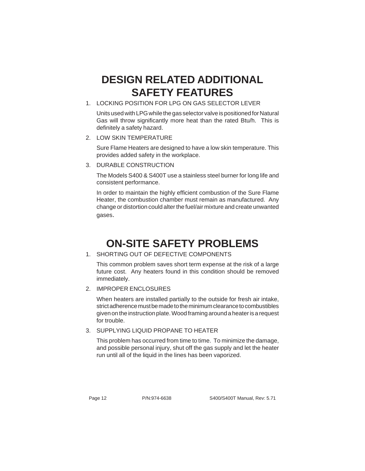## **DESIGN RELATED ADDITIONAL SAFETY FEATURES**

1. LOCKING POSITION FOR LPG ON GAS SELECTOR LEVER

Units used with LPG while the gas selector valve is positioned for Natural Gas will throw significantly more heat than the rated Btu/h. This is definitely a safety hazard.

2. LOW SKIN TEMPERATURE

Sure Flame Heaters are designed to have a low skin temperature. This provides added safety in the workplace.

3. DURABLE CONSTRUCTION

The Models S400 & S400T use a stainless steel burner for long life and consistent performance.

In order to maintain the highly efficient combustion of the Sure Flame Heater, the combustion chamber must remain as manufactured. Any change or distortion could alter the fuel/air mixture and create unwanted gases.

## **ON-SITE SAFETY PROBLEMS**

1. SHORTING OUT OF DEFECTIVE COMPONENTS

This common problem saves short term expense at the risk of a large future cost. Any heaters found in this condition should be removed immediately.

2. IMPROPER ENCLOSURES

When heaters are installed partially to the outside for fresh air intake, strict adherence must be made to the minimum clearance to combustibles given on the instruction plate. Wood framing around a heater is a request for trouble.

3. SUPPLYING LIQUID PROPANE TO HEATER

This problem has occurred from time to time. To minimize the damage, and possible personal injury, shut off the gas supply and let the heater run until all of the liquid in the lines has been vaporized.

Page 12 **P/N:974-6638** S400/S400T Manual, Rev: 5.71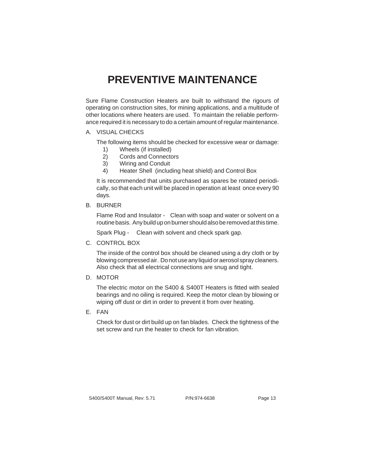## **PREVENTIVE MAINTENANCE**

Sure Flame Construction Heaters are built to withstand the rigours of operating on construction sites, for mining applications, and a multitude of other locations where heaters are used. To maintain the reliable performance required it is necessary to do a certain amount of regular maintenance.

#### A. VISUAL CHECKS

The following items should be checked for excessive wear or damage:

- 1) Wheels (if installed)
- 2) Cords and Connectors
- 3) Wiring and Conduit
- 4) Heater Shell (including heat shield) and Control Box

It is recommended that units purchased as spares be rotated periodically, so that each unit will be placed in operation at least once every 90 days.

B. BURNER

Flame Rod and Insulator - Clean with soap and water or solvent on a routine basis. Any build up on burner should also be removed at this time.

Spark Plug - Clean with solvent and check spark gap.

C. CONTROL BOX

The inside of the control box should be cleaned using a dry cloth or by blowing compressed air. Do not use any liquid or aerosol spray cleaners. Also check that all electrical connections are snug and tight.

D. MOTOR

The electric motor on the S400 & S400T Heaters is fitted with sealed bearings and no oiling is required. Keep the motor clean by blowing or wiping off dust or dirt in order to prevent it from over heating.

E. FAN

Check for dust or dirt build up on fan blades. Check the tightness of the set screw and run the heater to check for fan vibration.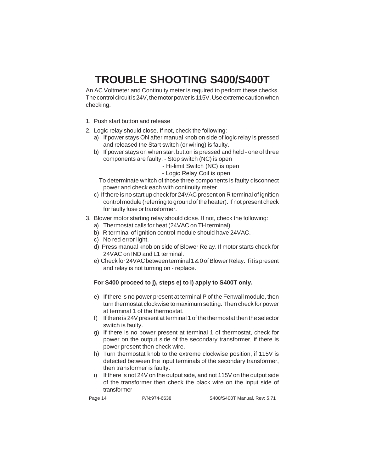## **TROUBLE SHOOTING S400/S400T**

An AC Voltmeter and Continuity meter is required to perform these checks. The control circuit is 24V, the motor power is 115V. Use extreme caution when checking.

- 1. Push start button and release
- 2. Logic relay should close. If not, check the following:
	- a) If power stays ON after manual knob on side of logic relay is pressed and released the Start switch (or wiring) is faulty.
	- b) If power stays on when start button is pressed and held one of three components are faulty: - Stop switch (NC) is open
		- Hi-limit Switch (NC) is open
		- Logic Relay Coil is open

 To determinate whitch of those three components is faulty disconnect power and check each with continuity meter.

- c) If there is no start up check for 24VAC present on R terminal of ignition control module (referring to ground of the heater). If not present check for faulty fuse or transformer.
- 3. Blower motor starting relay should close. If not, check the following:
	- a) Thermostat calls for heat (24VAC on TH terminal).
	- b) R terminal of ignition control module should have 24VAC.
	- c) No red error light.
	- d) Press manual knob on side of Blower Relay. If motor starts check for 24VAC on IND and L1 terminal.
	- e) Check for 24VAC between terminal 1 & 0 of Blower Relay. If it is present and relay is not turning on - replace.

#### **For S400 proceed to j), steps e) to i) apply to S400T only.**

- e) If there is no power present at terminal P of the Fenwall module, then turn thermostat clockwise to maximum setting. Then check for power at terminal 1 of the thermostat.
- f) If there is 24V present at terminal 1 of the thermostat then the selector switch is faulty.
- g) If there is no power present at terminal 1 of thermostat, check for power on the output side of the secondary transformer, if there is power present then check wire.
- h) Turn thermostat knob to the extreme clockwise position, if 115V is detected between the input terminals of the secondary transformer, then transformer is faulty.
- i) If there is not 24V on the output side, and not 115V on the output side of the transformer then check the black wire on the input side of transformer

Page 14 **P/N:974-6638** S400/S400T Manual, Rev: 5.71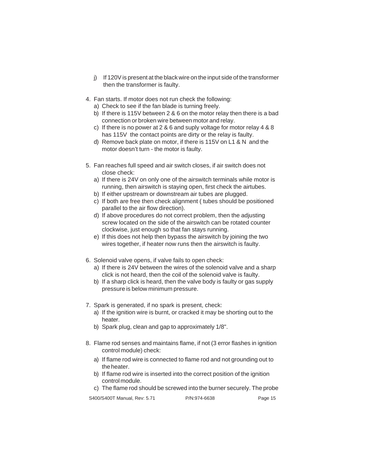- j) If 120V is present at the black wire on the input side of the transformer then the transformer is faulty.
- 4. Fan starts. If motor does not run check the following:
	- a) Check to see if the fan blade is turning freely.
	- b) If there is 115V between 2 & 6 on the motor relay then there is a bad connection or broken wire between motor and relay.
	- c) If there is no power at 2 & 6 and suply voltage for motor relay 4 & 8 has 115V the contact points are dirty or the relay is faulty.
	- d) Remove back plate on motor, if there is 115V on L1 & N and the motor doesn't turn - the motor is faulty.
- 5. Fan reaches full speed and air switch closes, if air switch does not close check:
	- a) If there is 24V on only one of the airswitch terminals while motor is running, then airswitch is staying open, first check the airtubes.
	- b) If either upstream or downstream air tubes are plugged.
	- c) If both are free then check alignment ( tubes should be positioned parallel to the air flow direction).
	- d) If above procedures do not correct problem, then the adjusting screw located on the side of the airswitch can be rotated counter clockwise, just enough so that fan stays running.
	- e) If this does not help then bypass the airswitch by joining the two wires together, if heater now runs then the airswitch is faulty.
- 6. Solenoid valve opens, if valve fails to open check:
	- a) If there is 24V between the wires of the solenoid valve and a sharp click is not heard, then the coil of the solenoid valve is faulty.
	- b) If a sharp click is heard, then the valve body is faulty or gas supply pressure is below minimum pressure.
- 7. Spark is generated, if no spark is present, check:
	- a) If the ignition wire is burnt, or cracked it may be shorting out to the heater.
	- b) Spark plug, clean and gap to approximately 1/8".
- 8. Flame rod senses and maintains flame, if not (3 error flashes in ignition control module) check:
	- a) If flame rod wire is connected to flame rod and not grounding out to the heater.
	- b) If flame rod wire is inserted into the correct position of the ignition control module.
	- c) The flame rod should be screwed into the burner securely. The probe

| S400/S400T Manual, Rev: 5.71 | P/N:974-6638 | Page 15 |
|------------------------------|--------------|---------|
|                              |              |         |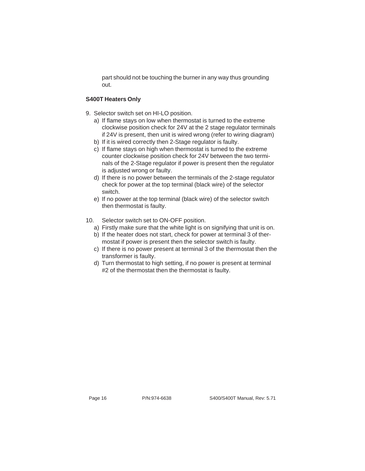part should not be touching the burner in any way thus grounding out.

#### **S400T Heaters Only**

- 9. Selector switch set on HI-LO position.
	- a) If flame stays on low when thermostat is turned to the extreme clockwise position check for 24V at the 2 stage regulator terminals if 24V is present, then unit is wired wrong (refer to wiring diagram)
	- b) If it is wired correctly then 2-Stage regulator is faulty.
	- c) If flame stays on high when thermostat is turned to the extreme counter clockwise position check for 24V between the two terminals of the 2-Stage regulator if power is present then the regulator is adjusted wrong or faulty.
	- d) If there is no power between the terminals of the 2-stage regulator check for power at the top terminal (black wire) of the selector switch.
	- e) If no power at the top terminal (black wire) of the selector switch then thermostat is faulty.
- 10. Selector switch set to ON-OFF position.
	- a) Firstly make sure that the white light is on signifying that unit is on.
	- b) If the heater does not start, check for power at terminal 3 of thermostat if power is present then the selector switch is faulty.
	- c) If there is no power present at terminal 3 of the thermostat then the transformer is faulty.
	- d) Turn thermostat to high setting, if no power is present at terminal #2 of the thermostat then the thermostat is faulty.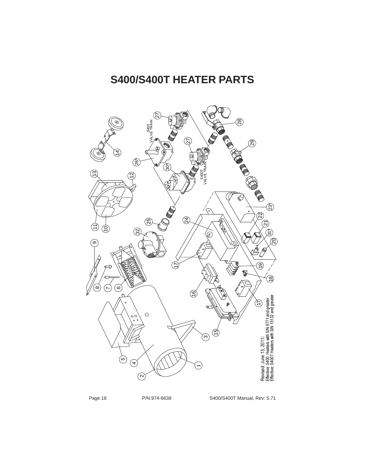## **S400/S400T HEATER PARTS**



Page 18 **P/N:974-6638** S400/S400T Manual, Rev: 5.71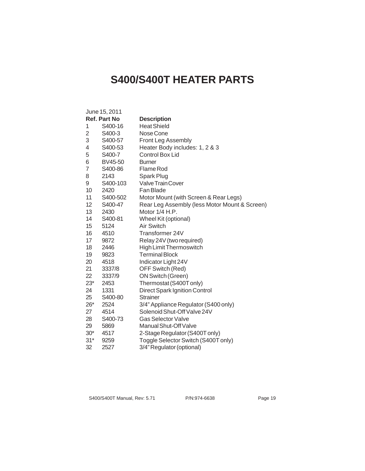## **S400/S400T HEATER PARTS**

|       | June 15, 2011       |                                               |
|-------|---------------------|-----------------------------------------------|
|       | <b>Ref. Part No</b> | <b>Description</b>                            |
| 1     | S400-16             | <b>Heat Shield</b>                            |
| 2     | S400-3              | Nose Cone                                     |
| 3     | S400-57             | Front Leg Assembly                            |
| 4     | S400-53             | Heater Body includes: 1, 2 & 3                |
| 5     | S400-7              | <b>Control Box Lid</b>                        |
| 6     | BV45-50             | <b>Burner</b>                                 |
| 7     | S400-86             | Flame Rod                                     |
| 8     | 2143                | Spark Plug                                    |
| 9     | S400-103            | <b>Valve Train Cover</b>                      |
| 10    | 2420                | <b>Fan Blade</b>                              |
| 11    | S400-502            | Motor Mount (with Screen & Rear Legs)         |
| 12    | S400-47             | Rear Leg Assembly (less Motor Mount & Screen) |
| 13    | 2430                | Motor 1/4 H.P.                                |
| 14    | S400-81             | Wheel Kit (optional)                          |
| 15    | 5124                | <b>Air Switch</b>                             |
| 16    | 4510                | Transformer 24V                               |
| 17    | 9872                | Relay 24V (two required)                      |
| 18    | 2446                | <b>High Limit Thermoswitch</b>                |
| 19    | 9823                | <b>Terminal Block</b>                         |
| 20    | 4518                | Indicator Light 24V                           |
| 21    | 3337/8              | OFF Switch (Red)                              |
| 22    | 3337/9              | <b>ON Switch (Green)</b>                      |
| $23*$ | 2453                | Thermostat (S400T only)                       |
| 24    | 1331                | <b>Direct Spark Ignition Control</b>          |
| 25    | S400-80             | <b>Strainer</b>                               |
| $26*$ | 2524                | 3/4" Appliance Regulator (S400 only)          |
| 27    | 4514                | Solenoid Shut-Off Valve 24V                   |
| 28    | S400-73             | <b>Gas Selector Valve</b>                     |
| 29    | 5869                | Manual Shut-Off Valve                         |
| $30*$ | 4517                | 2-Stage Regulator (S400T only)                |
| $31*$ | 9259                | Toggle Selector Switch (S400T only)           |
| 32    | 2527                | 3/4" Regulator (optional)                     |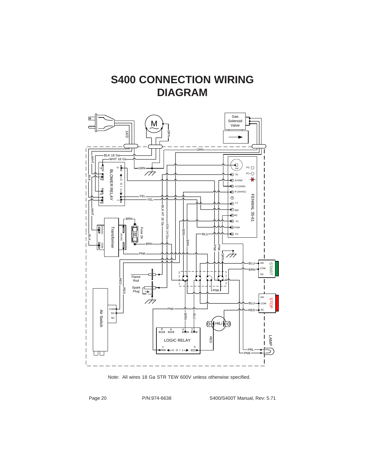## **S400 CONNECTION WIRING DIAGRAM**





Page 20 **P/N:974-6638** S400/S400T Manual, Rev: 5.71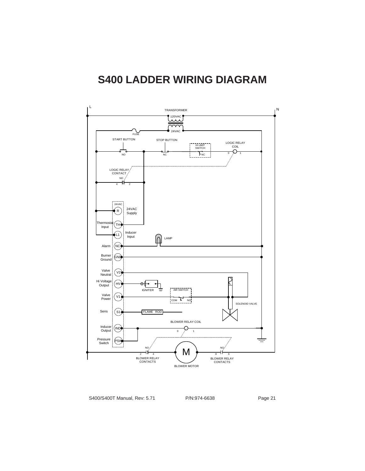### **S400 LADDER WIRING DIAGRAM**

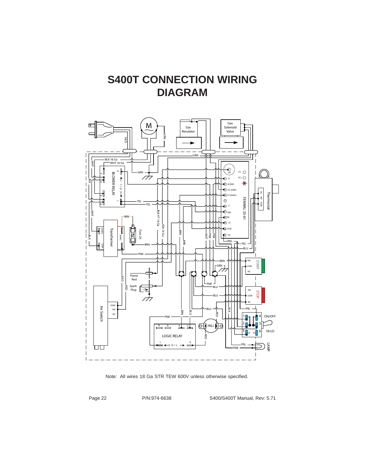## **S400T CONNECTION WIRING DIAGRAM**





Page 22 P/N:974-6638 S400/S400T Manual, Rev: 5.71